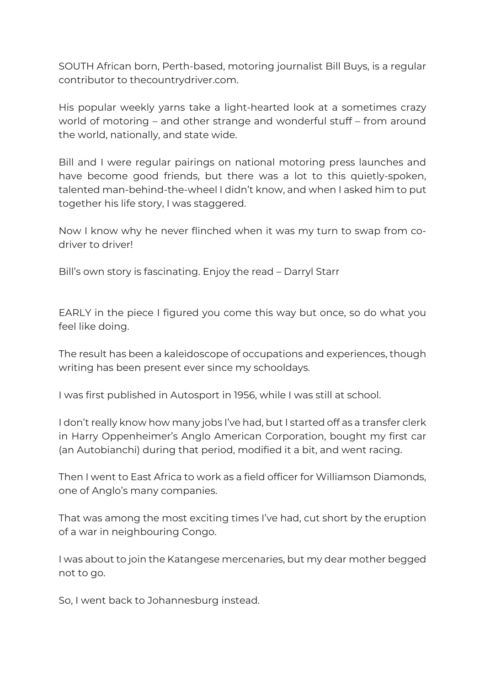SOUTH African born, Perth-based, motoring journalist Bill Buys, is a regular contributor to thecountrydriver.com.

His popular weekly yarns take a light-hearted look at a sometimes crazy world of motoring – and other strange and wonderful stuff – from around the world, nationally, and state wide.

Bill and I were regular pairings on national motoring press launches and have become good friends, but there was a lot to this quietly-spoken, talented man-behind-the-wheel I didn't know, and when I asked him to put together his life story, I was staggered.

Now I know why he never flinched when it was my turn to swap from codriver to driver!

Bill's own story is fascinating. Enjoy the read – Darryl Starr

EARLY in the piece I figured you come this way but once, so do what you feel like doing.

The result has been a kaleidoscope of occupations and experiences, though writing has been present ever since my schooldays.

I was first published in Autosport in 1956, while I was still at school.

I don't really know how many jobs I've had, but I started off as a transfer clerk in Harry Oppenheimer's Anglo American Corporation, bought my first car (an Autobianchi) during that period, modified it a bit, and went racing.

Then I went to East Africa to work as a field officer for Williamson Diamonds, one of Anglo's many companies.

That was among the most exciting times I've had, cut short by the eruption of a war in neighbouring Congo.

I was about to join the Katangese mercenaries, but my dear mother begged not to go.

So, I went back to Johannesburg instead.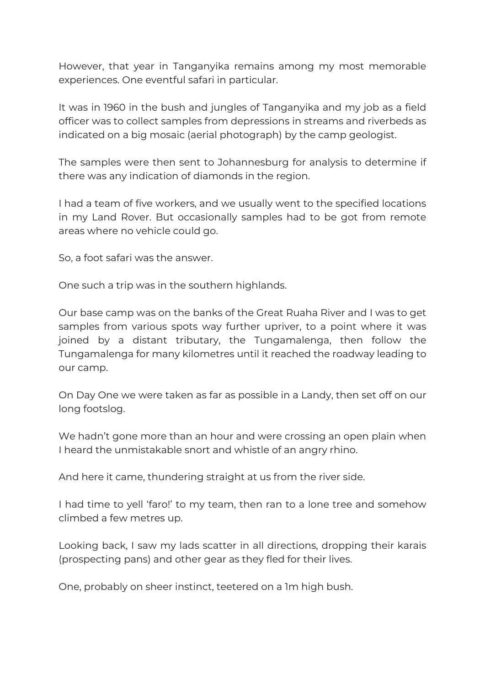However, that year in Tanganyika remains among my most memorable experiences. One eventful safari in particular.

It was in 1960 in the bush and jungles of Tanganyika and my job as a field officer was to collect samples from depressions in streams and riverbeds as indicated on a big mosaic (aerial photograph) by the camp geologist.

The samples were then sent to Johannesburg for analysis to determine if there was any indication of diamonds in the region.

I had a team of five workers, and we usually went to the specified locations in my Land Rover. But occasionally samples had to be got from remote areas where no vehicle could go.

So, a foot safari was the answer.

One such a trip was in the southern highlands.

Our base camp was on the banks of the Great Ruaha River and I was to get samples from various spots way further upriver, to a point where it was joined by a distant tributary, the Tungamalenga, then follow the Tungamalenga for many kilometres until it reached the roadway leading to our camp.

On Day One we were taken as far as possible in a Landy, then set off on our long footslog.

We hadn't gone more than an hour and were crossing an open plain when I heard the unmistakable snort and whistle of an angry rhino.

And here it came, thundering straight at us from the river side.

I had time to yell 'faro!' to my team, then ran to a lone tree and somehow climbed a few metres up.

Looking back, I saw my lads scatter in all directions, dropping their karais (prospecting pans) and other gear as they fled for their lives.

One, probably on sheer instinct, teetered on a 1m high bush.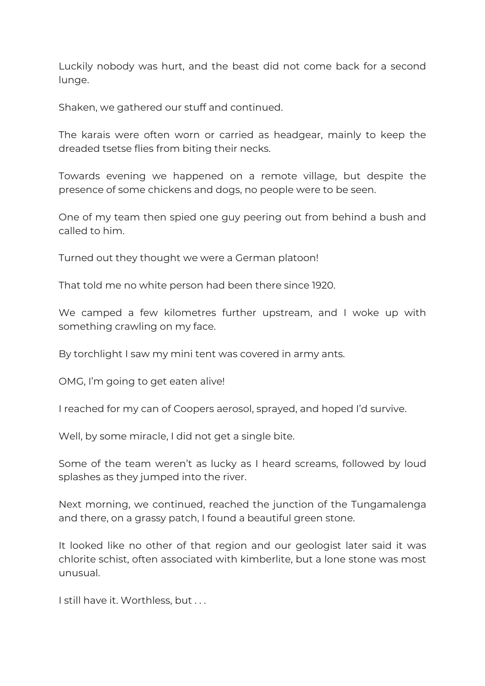Luckily nobody was hurt, and the beast did not come back for a second lunge.

Shaken, we gathered our stuff and continued.

The karais were often worn or carried as headgear, mainly to keep the dreaded tsetse flies from biting their necks.

Towards evening we happened on a remote village, but despite the presence of some chickens and dogs, no people were to be seen.

One of my team then spied one guy peering out from behind a bush and called to him.

Turned out they thought we were a German platoon!

That told me no white person had been there since 1920.

We camped a few kilometres further upstream, and I woke up with something crawling on my face.

By torchlight I saw my mini tent was covered in army ants.

OMG, I'm going to get eaten alive!

I reached for my can of Coopers aerosol, sprayed, and hoped I'd survive.

Well, by some miracle, I did not get a single bite.

Some of the team weren't as lucky as I heard screams, followed by loud splashes as they jumped into the river.

Next morning, we continued, reached the junction of the Tungamalenga and there, on a grassy patch, I found a beautiful green stone.

It looked like no other of that region and our geologist later said it was chlorite schist, often associated with kimberlite, but a lone stone was most unusual.

I still have it. Worthless, but . . .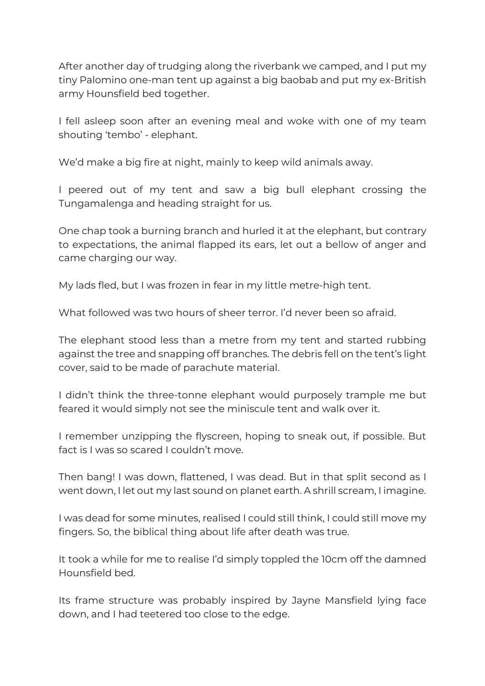After another day of trudging along the riverbank we camped, and I put my tiny Palomino one-man tent up against a big baobab and put my ex-British army Hounsfield bed together.

I fell asleep soon after an evening meal and woke with one of my team shouting 'tembo' - elephant.

We'd make a big fire at night, mainly to keep wild animals away.

I peered out of my tent and saw a big bull elephant crossing the Tungamalenga and heading straight for us.

One chap took a burning branch and hurled it at the elephant, but contrary to expectations, the animal flapped its ears, let out a bellow of anger and came charging our way.

My lads fled, but I was frozen in fear in my little metre-high tent.

What followed was two hours of sheer terror. I'd never been so afraid.

The elephant stood less than a metre from my tent and started rubbing against the tree and snapping off branches. The debris fell on the tent's light cover, said to be made of parachute material.

I didn't think the three-tonne elephant would purposely trample me but feared it would simply not see the miniscule tent and walk over it.

I remember unzipping the flyscreen, hoping to sneak out, if possible. But fact is I was so scared I couldn't move.

Then bang! I was down, flattened, I was dead. But in that split second as I went down, I let out my last sound on planet earth. A shrill scream, I imagine.

I was dead for some minutes, realised I could still think, I could still move my fingers. So, the biblical thing about life after death was true.

It took a while for me to realise I'd simply toppled the 10cm off the damned Hounsfield bed.

Its frame structure was probably inspired by Jayne Mansfield lying face down, and I had teetered too close to the edge.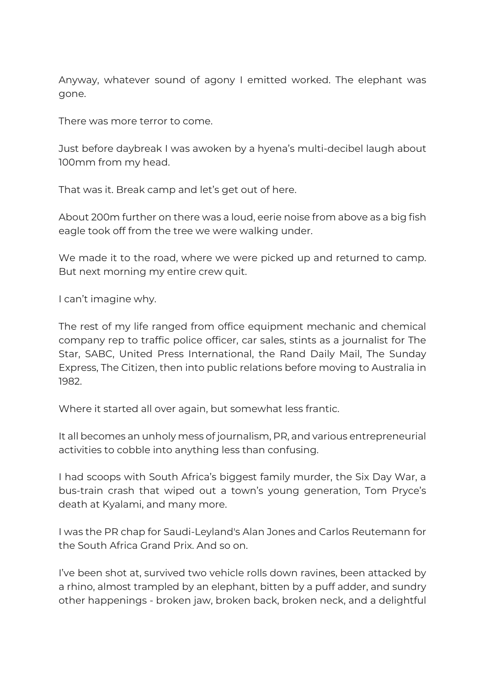Anyway, whatever sound of agony I emitted worked. The elephant was gone.

There was more terror to come.

Just before daybreak I was awoken by a hyena's multi-decibel laugh about 100mm from my head.

That was it. Break camp and let's get out of here.

About 200m further on there was a loud, eerie noise from above as a big fish eagle took off from the tree we were walking under.

We made it to the road, where we were picked up and returned to camp. But next morning my entire crew quit.

I can't imagine why.

The rest of my life ranged from office equipment mechanic and chemical company rep to traffic police officer, car sales, stints as a journalist for The Star, SABC, United Press International, the Rand Daily Mail, The Sunday Express, The Citizen, then into public relations before moving to Australia in 1982.

Where it started all over again, but somewhat less frantic.

It all becomes an unholy mess of journalism, PR, and various entrepreneurial activities to cobble into anything less than confusing.

I had scoops with South Africa's biggest family murder, the Six Day War, a bus-train crash that wiped out a town's young generation, Tom Pryce's death at Kyalami, and many more.

I was the PR chap for Saudi-Leyland's Alan Jones and Carlos Reutemann for the South Africa Grand Prix. And so on.

I've been shot at, survived two vehicle rolls down ravines, been attacked by a rhino, almost trampled by an elephant, bitten by a puff adder, and sundry other happenings - broken jaw, broken back, broken neck, and a delightful